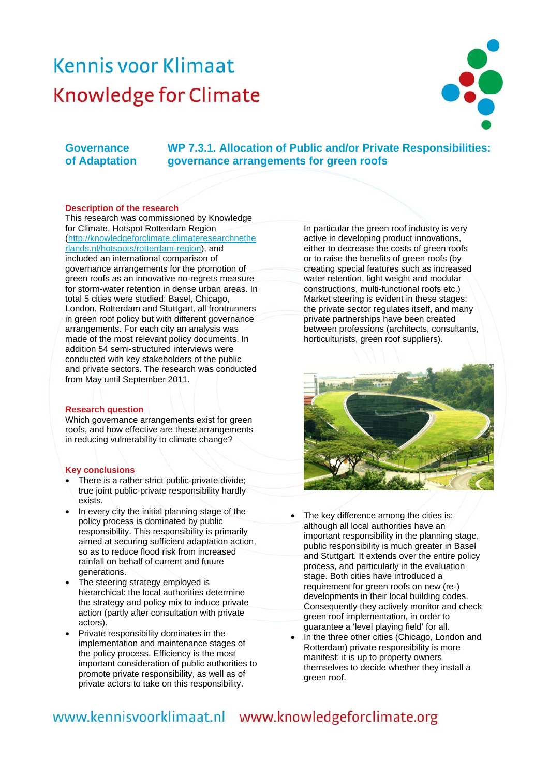# Kennis voor Klimaat **Knowledge for Climate**



# **Governance of Adaptation**

 **WP 7.3.1. Allocation of Public and/or Private Responsibilities: governance arrangements for green roofs** 

### **Description of the research**

This research was commissioned by Knowledge for Climate, Hotspot Rotterdam Region [\(http://knowledgeforclimate.climateresearchnethe](http://knowledgeforclimate.climateresearchnetherlands.nl/hotspots/rotterdam-region) [rlands.nl/hotspots/rotterdam-region](http://knowledgeforclimate.climateresearchnetherlands.nl/hotspots/rotterdam-region)), and included an international comparison of governance arrangements for the promotion of green roofs as an innovative no-regrets measure for storm-water retention in dense urban areas. In total 5 cities were studied: Basel, Chicago, London, Rotterdam and Stuttgart, all frontrunners in green roof policy but with different governance arrangements. For each city an analysis was made of the most relevant policy documents. In addition 54 semi-structured interviews were conducted with key stakeholders of the public and private sectors. The research was conducted from May until September 2011.

### **Research question**

Which governance arrangements exist for green roofs, and how effective are these arrangements in reducing vulnerability to climate change?

#### **Key conclusions**

- There is a rather strict public-private divide; true joint public-private responsibility hardly exists.
- In every city the initial planning stage of the policy process is dominated by public responsibility. This responsibility is primarily aimed at securing sufficient adaptation action, so as to reduce flood risk from increased rainfall on behalf of current and future generations.
- The steering strategy employed is hierarchical: the local authorities determine the strategy and policy mix to induce private action (partly after consultation with private actors).
- Private responsibility dominates in the implementation and maintenance stages of the policy process. Efficiency is the most important consideration of public authorities to promote private responsibility, as well as of private actors to take on this responsibility.

In particular the green roof industry is very active in developing product innovations, either to decrease the costs of green roofs or to raise the benefits of green roofs (by creating special features such as increased water retention, light weight and modular constructions, multi-functional roofs etc.) Market steering is evident in these stages: the private sector regulates itself, and many private partnerships have been created between professions (architects, consultants, horticulturists, green roof suppliers).



- The key difference among the cities is: although all local authorities have an important responsibility in the planning stage, public responsibility is much greater in Basel and Stuttgart. It extends over the entire policy process, and particularly in the evaluation stage. Both cities have introduced a requirement for green roofs on new (re-) developments in their local building codes. Consequently they actively monitor and check green roof implementation, in order to guarantee a 'level playing field' for all.
- In the three other cities (Chicago, London and Rotterdam) private responsibility is more manifest: it is up to property owners themselves to decide whether they install a green roof.

# www.kennisvoorklimaat.nl www.knowledgeforclimate.org